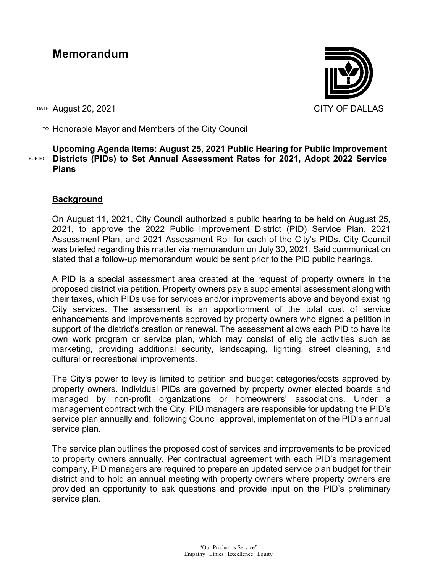# **Memorandum**

DATE August 20, 2021 CITY OF DALLAS



TO Honorable Mayor and Members of the City Council

## SUBJECT **Districts (PIDs) to Set Annual Assessment Rates for 2021, Adopt 2022 Service Upcoming Agenda Items: August 25, 2021 Public Hearing for Public Improvement Plans**

## **Background**

On August 11, 2021, City Council authorized a public hearing to be held on August 25, 2021, to approve the 2022 Public Improvement District (PID) Service Plan, 2021 Assessment Plan, and 2021 Assessment Roll for each of the City's PIDs. City Council was briefed regarding this matter via memorandum on July 30, 2021. Said communication stated that a follow-up memorandum would be sent prior to the PID public hearings.

A PID is a special assessment area created at the request of property owners in the proposed district via petition. Property owners pay a supplemental assessment along with their taxes, which PIDs use for services and/or improvements above and beyond existing City services. The assessment is an apportionment of the total cost of service enhancements and improvements approved by property owners who signed a petition in support of the district's creation or renewal. The assessment allows each PID to have its own work program or service plan, which may consist of eligible activities such as marketing, providing additional security, landscaping**,** lighting, street cleaning, and cultural or recreational improvements.

The City's power to levy is limited to petition and budget categories/costs approved by property owners. Individual PIDs are governed by property owner elected boards and managed by non-profit organizations or homeowners' associations. Under a management contract with the City, PID managers are responsible for updating the PID's service plan annually and, following Council approval, implementation of the PID's annual service plan.

The service plan outlines the proposed cost of services and improvements to be provided to property owners annually. Per contractual agreement with each PID's management company, PID managers are required to prepare an updated service plan budget for their district and to hold an annual meeting with property owners where property owners are provided an opportunity to ask questions and provide input on the PID's preliminary service plan.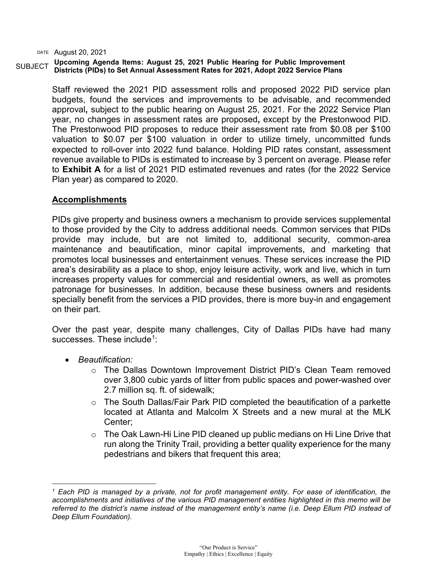#### SUBJECT **Upcoming Agenda Items: August 25, 2021 Public Hearing for Public Improvement Districts (PIDs) to Set Annual Assessment Rates for 2021, Adopt 2022 Service Plans**

Staff reviewed the 2021 PID assessment rolls and proposed 2022 PID service plan budgets, found the services and improvements to be advisable, and recommended approval**,** subject to the public hearing on August 25, 2021. For the 2022 Service Plan year, no changes in assessment rates are proposed**,** except by the Prestonwood PID. The Prestonwood PID proposes to reduce their assessment rate from \$0.08 per \$100 valuation to \$0.07 per \$100 valuation in order to utilize timely, uncommitted funds expected to roll-over into 2022 fund balance. Holding PID rates constant, assessment revenue available to PIDs is estimated to increase by 3 percent on average. Please refer to **Exhibit A** for a list of 2021 PID estimated revenues and rates (for the 2022 Service Plan year) as compared to 2020.

## **Accomplishments**

PIDs give property and business owners a mechanism to provide services supplemental to those provided by the City to address additional needs. Common services that PIDs provide may include, but are not limited to, additional security, common-area maintenance and beautification, minor capital improvements, and marketing that promotes local businesses and entertainment venues. These services increase the PID area's desirability as a place to shop, enjoy leisure activity, work and live, which in turn increases property values for commercial and residential owners, as well as promotes patronage for businesses. In addition, because these business owners and residents specially benefit from the services a PID provides, there is more buy-in and engagement on their part.

Over the past year, despite many challenges, City of Dallas PIDs have had many successes. These include<sup>[1](#page-1-0)</sup>:

- *Beautification:*
	- o The Dallas Downtown Improvement District PID's Clean Team removed over 3,800 cubic yards of litter from public spaces and power-washed over 2.7 million sq. ft. of sidewalk;
	- o The South Dallas/Fair Park PID completed the beautification of a parkette located at Atlanta and Malcolm X Streets and a new mural at the MLK Center;
	- o The Oak Lawn-Hi Line PID cleaned up public medians on Hi Line Drive that run along the Trinity Trail, providing a better quality experience for the many pedestrians and bikers that frequent this area;

<span id="page-1-0"></span>*<sup>1</sup> Each PID is managed by a private, not for profit management entity. For ease of identification, the accomplishments and initiatives of the various PID management entities highlighted in this memo will be referred to the district's name instead of the management entity's name (i.e. Deep Ellum PID instead of Deep Ellum Foundation).*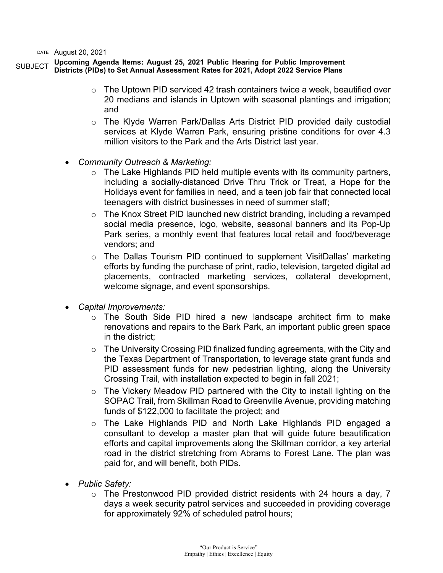#### SUBJECT **Upcoming Agenda Items: August 25, 2021 Public Hearing for Public Improvement Districts (PIDs) to Set Annual Assessment Rates for 2021, Adopt 2022 Service Plans**

- $\circ$  The Uptown PID serviced 42 trash containers twice a week, beautified over 20 medians and islands in Uptown with seasonal plantings and irrigation; and
- o The Klyde Warren Park/Dallas Arts District PID provided daily custodial services at Klyde Warren Park, ensuring pristine conditions for over 4.3 million visitors to the Park and the Arts District last year.
- *Community Outreach & Marketing:*
	- $\circ$  The Lake Highlands PID held multiple events with its community partners, including a socially-distanced Drive Thru Trick or Treat, a Hope for the Holidays event for families in need, and a teen job fair that connected local teenagers with district businesses in need of summer staff;
	- o The Knox Street PID launched new district branding, including a revamped social media presence, logo, website, seasonal banners and its Pop-Up Park series, a monthly event that features local retail and food/beverage vendors; and
	- o The Dallas Tourism PID continued to supplement VisitDallas' marketing efforts by funding the purchase of print, radio, television, targeted digital ad placements, contracted marketing services, collateral development, welcome signage, and event sponsorships.
- *Capital Improvements:*
	- o The South Side PID hired a new landscape architect firm to make renovations and repairs to the Bark Park, an important public green space in the district;
	- $\circ$  The University Crossing PID finalized funding agreements, with the City and the Texas Department of Transportation, to leverage state grant funds and PID assessment funds for new pedestrian lighting, along the University Crossing Trail, with installation expected to begin in fall 2021;
	- o The Vickery Meadow PID partnered with the City to install lighting on the SOPAC Trail, from Skillman Road to Greenville Avenue, providing matching funds of \$122,000 to facilitate the project; and
	- o The Lake Highlands PID and North Lake Highlands PID engaged a consultant to develop a master plan that will guide future beautification efforts and capital improvements along the Skillman corridor, a key arterial road in the district stretching from Abrams to Forest Lane. The plan was paid for, and will benefit, both PIDs.
- *Public Safety:*
	- $\circ$  The Prestonwood PID provided district residents with 24 hours a day, 7 days a week security patrol services and succeeded in providing coverage for approximately 92% of scheduled patrol hours;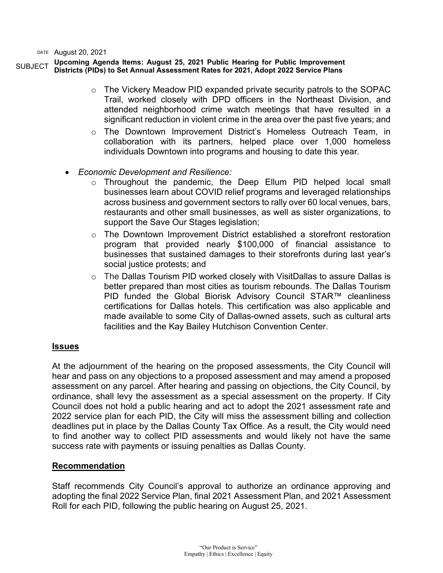#### SUBJECT **Upcoming Agenda Items: August 25, 2021 Public Hearing for Public Improvement Districts (PIDs) to Set Annual Assessment Rates for 2021, Adopt 2022 Service Plans**

- $\circ$  The Vickery Meadow PID expanded private security patrols to the SOPAC Trail, worked closely with DPD officers in the Northeast Division, and attended neighborhood crime watch meetings that have resulted in a significant reduction in violent crime in the area over the past five years; and
- $\circ$  The Downtown Improvement District's Homeless Outreach Team, in collaboration with its partners, helped place over 1,000 homeless individuals Downtown into programs and housing to date this year.
- *Economic Development and Resilience:*
	- o Throughout the pandemic, the Deep Ellum PID helped local small businesses learn about COVID relief programs and leveraged relationships across business and government sectors to rally over 60 local venues, bars, restaurants and other small businesses, as well as sister organizations, to support the Save Our Stages legislation;
	- $\circ$  The Downtown Improvement District established a storefront restoration program that provided nearly \$100,000 of financial assistance to businesses that sustained damages to their storefronts during last year's social justice protests; and
	- o The Dallas Tourism PID worked closely with VisitDallas to assure Dallas is better prepared than most cities as tourism rebounds. The Dallas Tourism PID funded the Global Biorisk Advisory Council STAR™ cleanliness certifications for Dallas hotels. This certification was also applicable and made available to some City of Dallas-owned assets, such as cultural arts facilities and the Kay Bailey Hutchison Convention Center.

#### **Issues**

At the adjournment of the hearing on the proposed assessments, the City Council will hear and pass on any objections to a proposed assessment and may amend a proposed assessment on any parcel. After hearing and passing on objections, the City Council, by ordinance, shall levy the assessment as a special assessment on the property. If City Council does not hold a public hearing and act to adopt the 2021 assessment rate and 2022 service plan for each PID, the City will miss the assessment billing and collection deadlines put in place by the Dallas County Tax Office. As a result, the City would need to find another way to collect PID assessments and would likely not have the same success rate with payments or issuing penalties as Dallas County.

## **Recommendation**

Staff recommends City Council's approval to authorize an ordinance approving and adopting the final 2022 Service Plan, final 2021 Assessment Plan, and 2021 Assessment Roll for each PID, following the public hearing on August 25, 2021.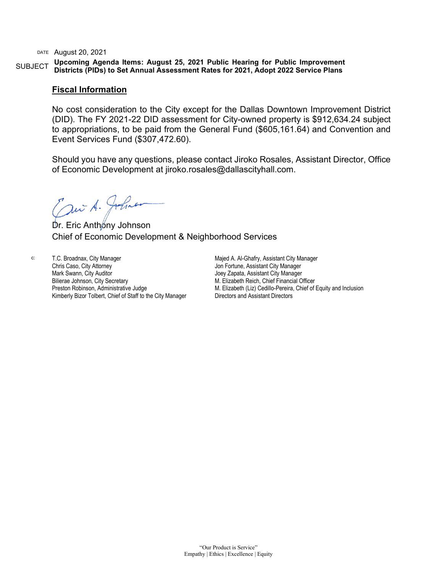SUBJECT **Upcoming Agenda Items: August 25, 2021 Public Hearing for Public Improvement Districts (PIDs) to Set Annual Assessment Rates for 2021, Adopt 2022 Service Plans** 

#### **Fiscal Information**

No cost consideration to the City except for the Dallas Downtown Improvement District (DID). The FY 2021-22 DID assessment for City-owned property is \$912,634.24 subject to appropriations, to be paid from the General Fund (\$605,161.64) and Convention and Event Services Fund (\$307,472.60).

Should you have any questions, please contact Jiroko Rosales, Assistant Director, Office of Economic Development at jiroko.rosales@dallascityhall.com.

Cani A. Johnson<br>Dr. Eric Anthony Johnson

Chief of Economic Development & Neighborhood Services

c: T.C. Broadnax, City Manager Chris Caso, City Attorney Mark Swann, City Auditor Bilierae Johnson, City Secretary Preston Robinson, Administrative Judge Kimberly Bizor Tolbert, Chief of Staff to the City Manager Majed A. Al-Ghafry, Assistant City Manager Jon Fortune, Assistant City Manager Joey Zapata, Assistant City Manager M. Elizabeth Reich, Chief Financial Officer M. Elizabeth (Liz) Cedillo-Pereira, Chief of Equity and Inclusion Directors and Assistant Directors